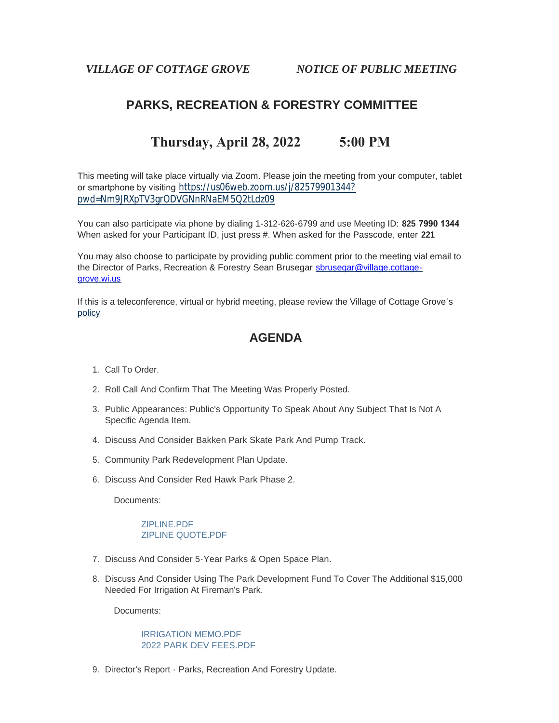*VILLAGE OF COTTAGE GROVE NOTICE OF PUBLIC MEETING*

# **PARKS, RECREATION & FORESTRY COMMITTEE**

# **Thursday, April 28, 2022 5:00 PM**

This meeting will take place virtually via Zoom. Please join the meeting from your computer, tablet or smartphone by visiting [https://us06web.zoom.us/j/82579901344?](https://us06web.zoom.us/j/82579901344?pwd=Nm9JRXpTV3grODVGNnRNaEM5Q2tLdz09) pwd=Nm9JRXpTV3grODVGNnRNaEM5Q2tLdz09

You can also participate via phone by dialing 1-312-626-6799 and use Meeting ID: **825 7990 1344** When asked for your Participant ID, just press #. When asked for the Passcode, enter **221**

You may also choose to participate by providing public comment prior to the meeting vial email to the Director of Parks, Recreation & Forestry Sean Brusegar sbrusegar@village.cottagegrove.wi.us

[If this](https://www.vi.cottagegrove.wi.gov/DocumentCenter/View/1850/Virtual-Hybrid-Tele-meeting-Policy-Final) is a teleconference, virtual or hybrid meeting, please review the Village of Cottage Grove's policy

## **AGENDA**

- 1. Call To Order.
- 2. Roll Call And Confirm That The Meeting Was Properly Posted.
- 3. Public Appearances: Public's Opportunity To Speak About Any Subject That Is Not A Specific Agenda Item.
- 4. Discuss And Consider Bakken Park Skate Park And Pump Track.
- 5. Community Park Redevelopment Plan Update.
- 6. Discuss And Consider Red Hawk Park Phase 2.

Documents:

#### [ZIPLINE.PDF](https://www.vi.cottagegrove.wi.gov/AgendaCenter/ViewFile/Item/9947?fileID=19572) [ZIPLINE QUOTE.PDF](https://www.vi.cottagegrove.wi.gov/AgendaCenter/ViewFile/Item/9947?fileID=19573)

- 7. Discuss And Consider 5-Year Parks & Open Space Plan.
- 8. Discuss And Consider Using The Park Development Fund To Cover The Additional \$15,000 Needed For Irrigation At Fireman's Park.

Documents:

#### [IRRIGATION MEMO.PDF](https://www.vi.cottagegrove.wi.gov/AgendaCenter/ViewFile/Item/9950?fileID=19574) [2022 PARK DEV FEES.PDF](https://www.vi.cottagegrove.wi.gov/AgendaCenter/ViewFile/Item/9950?fileID=19575)

9. Director's Report - Parks, Recreation And Forestry Update.